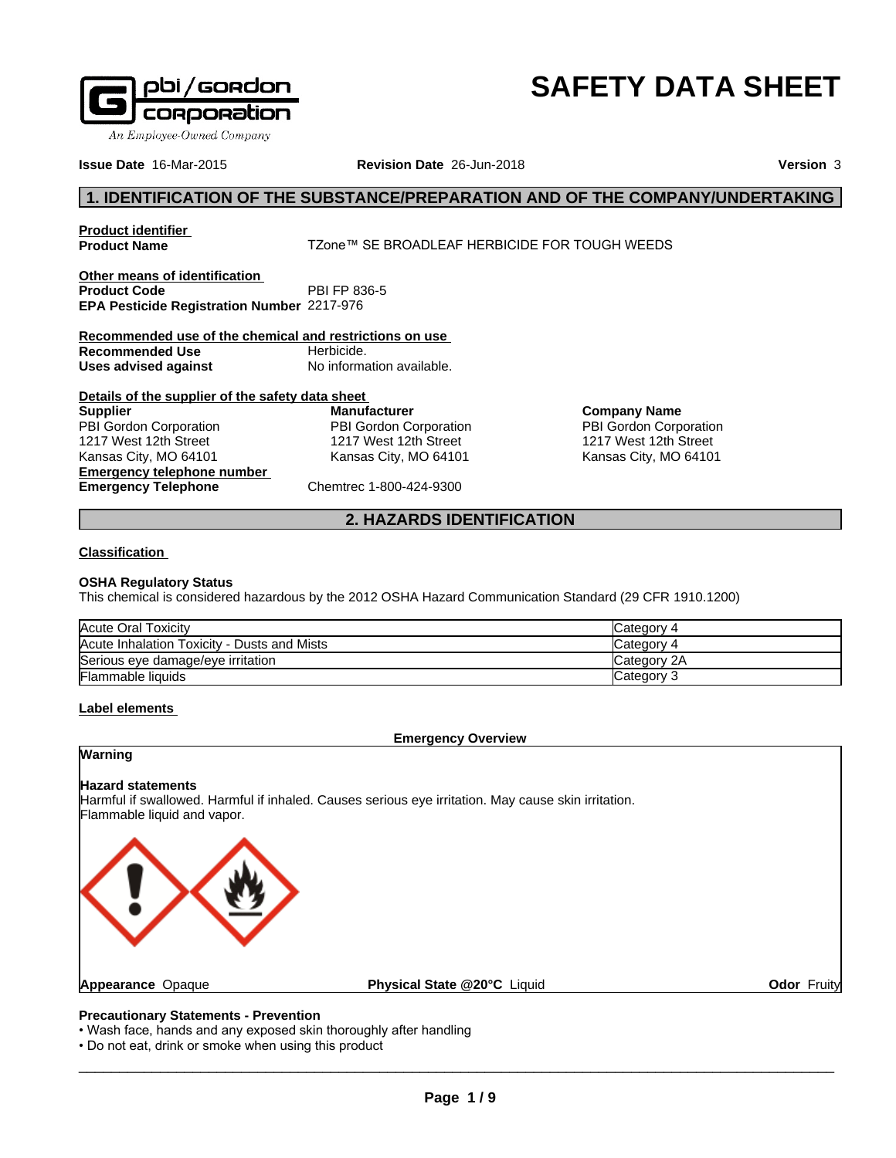

# **SAFETY DATA SHEET**

**Issue Date** 16-Mar-2015 **Revision Date** 26-Jun-2018 **Version** 3

# **1. IDENTIFICATION OF THE SUBSTANCE/PREPARATION AND OF THE COMPANY/UNDERTAKING**

**Product identifier**

TZone™ SE BROADLEAF HERBICIDE FOR TOUGH WEEDS

**Other means of identification**<br>**Product Code** PBI FP 836-5 **Product Code EPA Pesticide Registration Number** 2217-976

**Recommended use of the chemical and restrictions on use Recommended Use Herbicide. Uses advised against** No information available.

**Details of the supplier of the safety data sheet Emergency telephone number Emergency Telephone** Chemtrec 1-800-424-9300 **Supplier** PBI Gordon Corporation 1217 West 12th Street Kansas City, MO 64101

**Manufacturer** PBI Gordon Corporation 1217 West 12th Street Kansas City, MO 64101

**Company Name** PBI Gordon Corporation 1217 West 12th Street Kansas City, MO 64101

# **2. HAZARDS IDENTIFICATION**

# **Classification**

# **OSHA Regulatory Status**

This chemical is considered hazardous by the 2012 OSHA Hazard Communication Standard (29 CFR 1910.1200)

| Acute Oral Toxicity                         | Category 4  |
|---------------------------------------------|-------------|
| Acute Inhalation Toxicity - Dusts and Mists | Category 4  |
| Serious eye damage/eye irritation           | Category 2A |
| <b>Flammable liquids</b>                    | Category 3  |

# **Label elements**

# **Emergency Overview**

# **Warning**

# **Hazard statements**

Harmful if swallowed. Harmful if inhaled. Causes serious eye irritation. May cause skin irritation. Flammable liquid and vapor.



**Odor** Fruity

# **Precautionary Statements - Prevention**

• Wash face, hands and any exposed skin thoroughly after handling

• Do not eat, drink or smoke when using this product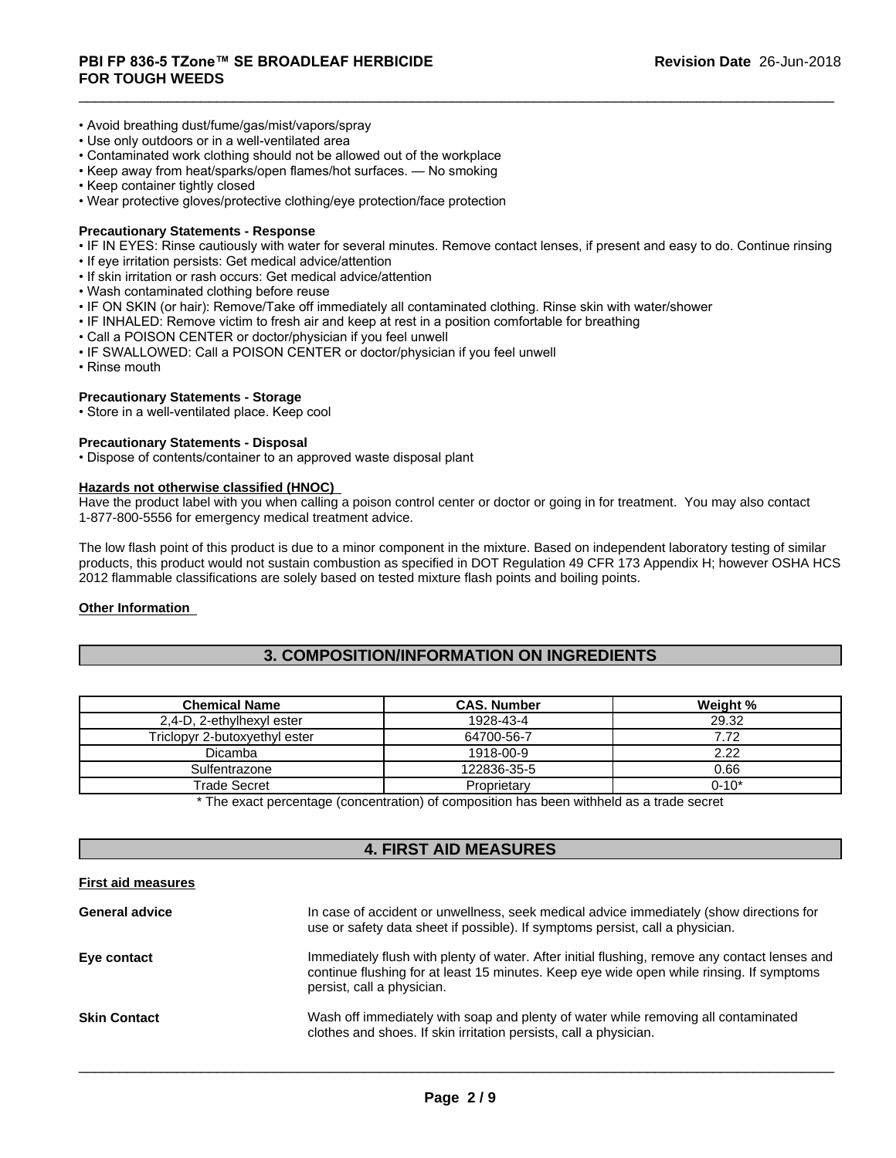- Avoid breathing dust/fume/gas/mist/vapors/spray
- Use only outdoors or in a well-ventilated area
- Contaminated work clothing should not be allowed out of the workplace
- Keep away from heat/sparks/open flames/hot surfaces. No smoking
- Keep container tightly closed
- Wear protective gloves/protective clothing/eye protection/face protection

# **Precautionary Statements - Response**

- IF IN EYES: Rinse cautiously with water for several minutes. Remove contact lenses, if present and easy to do. Continue rinsing
- If eye irritation persists: Get medical advice/attention
- If skin irritation or rash occurs: Get medical advice/attention
- Wash contaminated clothing before reuse
- IF ON SKIN (or hair): Remove/Take off immediately all contaminated clothing. Rinse skin with water/shower
- IF INHALED: Remove victim to fresh air and keep at rest in a position comfortable for breathing
- Call a POISON CENTER or doctor/physician if you feel unwell
- IF SWALLOWED: Call a POISON CENTER or doctor/physician if you feel unwell
- Rinse mouth

# **Precautionary Statements - Storage**

• Store in a well-ventilated place. Keep cool

# **Precautionary Statements - Disposal**

• Dispose of contents/container to an approved waste disposal plant

# **Hazards not otherwise classified (HNOC)**

Have the product label with you when calling a poison control center or doctor or going in for treatment. You may also contact 1-877-800-5556 for emergency medical treatment advice.

The low flash point of this product is due to a minor component in the mixture. Based on independent laboratory testing of similar products, this product would not sustain combustion as specified in DOT Regulation 49 CFR 173 Appendix H; however OSHA HCS 2012 flammable classifications are solely based on tested mixture flash points and boiling points.

#### **Other Information**

# **3. COMPOSITION/INFORMATION ON INGREDIENTS**

| <b>Chemical Name</b>          | <b>CAS. Number</b> | Weight %  |
|-------------------------------|--------------------|-----------|
| 2,4-D, 2-ethylhexyl ester     | 1928-43-4          | 29.32     |
| Triclopyr 2-butoxyethyl ester | 64700-56-7         | 7.72      |
| <b>Dicamba</b>                | 1918-00-9          | 2.22      |
| Sulfentrazone                 | 122836-35-5        | 0.66      |
| Trade Secret                  | Proprietary        | $0 - 10*$ |

\* The exact percentage (concentration) ofcomposition has been withheld as a trade secret

# **4. FIRST AID MEASURES**

#### **First aid measures**

| <b>General advice</b> | In case of accident or unwellness, seek medical advice immediately (show directions for<br>use or safety data sheet if possible). If symptoms persist, call a physician.                                                |
|-----------------------|-------------------------------------------------------------------------------------------------------------------------------------------------------------------------------------------------------------------------|
| Eye contact           | Immediately flush with plenty of water. After initial flushing, remove any contact lenses and<br>continue flushing for at least 15 minutes. Keep eye wide open while rinsing. If symptoms<br>persist, call a physician. |
| <b>Skin Contact</b>   | Wash off immediately with soap and plenty of water while removing all contaminated<br>clothes and shoes. If skin irritation persists, call a physician.                                                                 |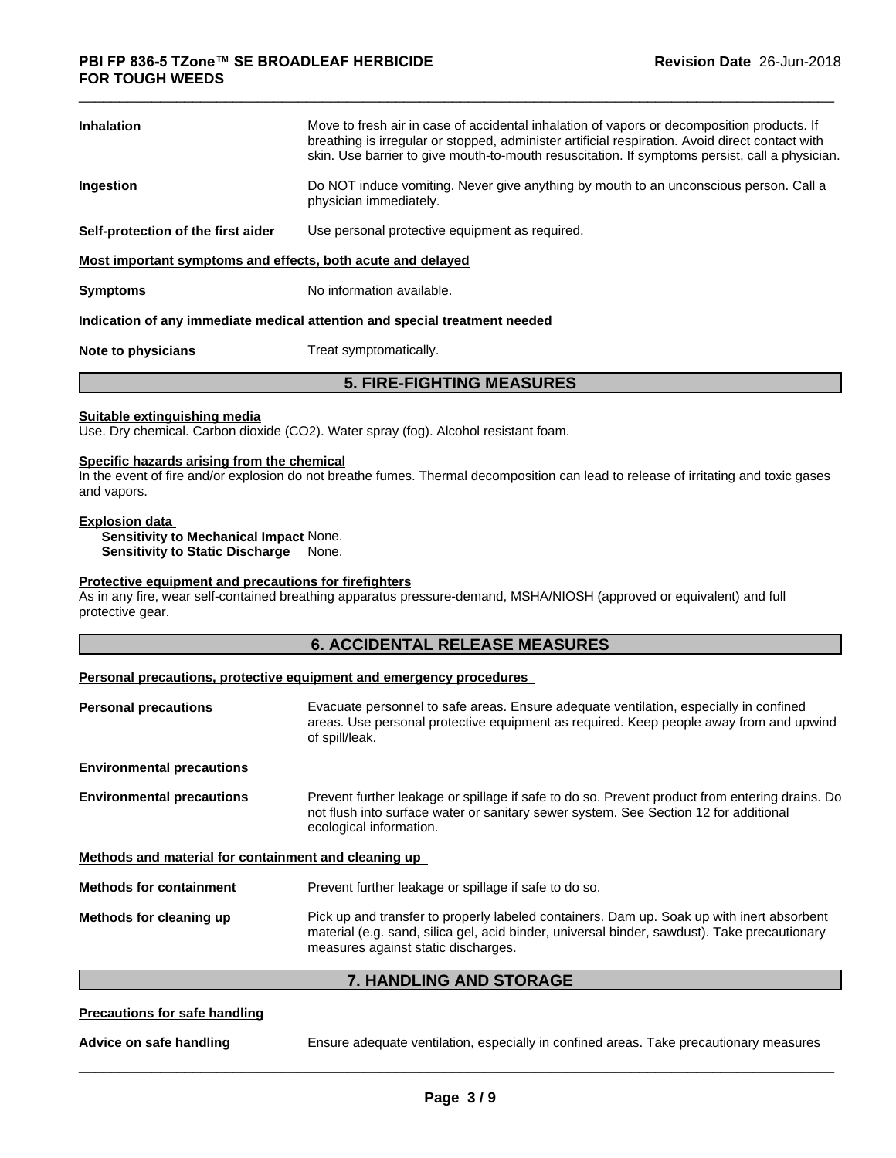| <b>Inhalation</b>                                           | Move to fresh air in case of accidental inhalation of vapors or decomposition products. If<br>breathing is irregular or stopped, administer artificial respiration. Avoid direct contact with<br>skin. Use barrier to give mouth-to-mouth resuscitation. If symptoms persist, call a physician. |
|-------------------------------------------------------------|-------------------------------------------------------------------------------------------------------------------------------------------------------------------------------------------------------------------------------------------------------------------------------------------------|
| Ingestion                                                   | Do NOT induce vomiting. Never give anything by mouth to an unconscious person. Call a<br>physician immediately.                                                                                                                                                                                 |
| Self-protection of the first aider                          | Use personal protective equipment as required.                                                                                                                                                                                                                                                  |
| Most important symptoms and effects, both acute and delayed |                                                                                                                                                                                                                                                                                                 |
| <b>Symptoms</b>                                             | No information available.                                                                                                                                                                                                                                                                       |
|                                                             | Indication of any immediate medical attention and special treatment needed                                                                                                                                                                                                                      |
|                                                             |                                                                                                                                                                                                                                                                                                 |

**Note to physicians** Treat symptomatically.

# **5. FIRE-FIGHTING MEASURES**

#### **Suitable extinguishing media**

Use. Dry chemical. Carbon dioxide (CO2). Water spray (fog). Alcohol resistant foam.

#### **Specific hazards arising from the chemical**

In the event of fire and/or explosion do not breathe fumes. Thermal decomposition can lead to release of irritating and toxic gases and vapors.

#### **Explosion data**

**Sensitivity to Mechanical Impact** None.

**Sensitivity to Static Discharge** None.

#### **Protective equipment and precautions for firefighters**

As in any fire, wear self-contained breathing apparatus pressure-demand, MSHA/NIOSH (approved or equivalent) and full protective gear.

# **6. ACCIDENTAL RELEASE MEASURES**

# **Personal precautions, protective equipment and emergency procedures**

| <b>Personal precautions</b>                          | Evacuate personnel to safe areas. Ensure adequate ventilation, especially in confined<br>areas. Use personal protective equipment as required. Keep people away from and upwind<br>of spill/leak.                 |
|------------------------------------------------------|-------------------------------------------------------------------------------------------------------------------------------------------------------------------------------------------------------------------|
| <b>Environmental precautions</b>                     |                                                                                                                                                                                                                   |
| <b>Environmental precautions</b>                     | Prevent further leakage or spillage if safe to do so. Prevent product from entering drains. Do<br>not flush into surface water or sanitary sewer system. See Section 12 for additional<br>ecological information. |
| Methods and material for containment and cleaning up |                                                                                                                                                                                                                   |
|                                                      |                                                                                                                                                                                                                   |
| <b>Methods for containment</b>                       | Prevent further leakage or spillage if safe to do so.                                                                                                                                                             |

# **7. HANDLING AND STORAGE**

# **Precautions for safe handling**

**Advice on safe handling** Ensure adequate ventilation, especially in confined areas. Take precautionary measures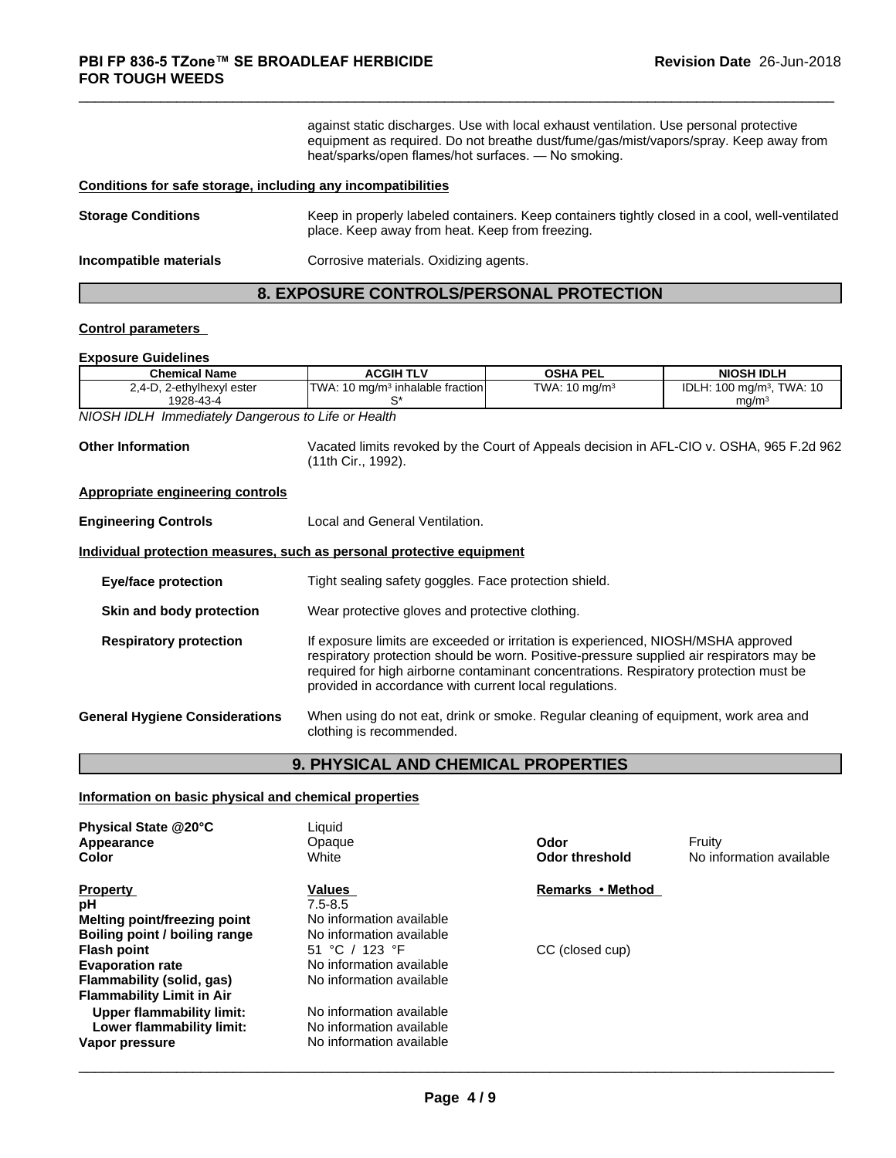against static discharges. Use with local exhaust ventilation. Use personal protective equipment as required.Do not breathe dust/fume/gas/mist/vapors/spray. Keep away from heat/sparks/open flames/hot surfaces. — No smoking.

# **Conditions for safe storage, including any incompatibilities**

| <b>Storage Conditions</b> | Keep in properly labeled containers. Keep containers tightly closed in a cool, well-ventilated<br>place. Keep away from heat. Keep from freezing. |
|---------------------------|---------------------------------------------------------------------------------------------------------------------------------------------------|
| Incompatible materials    | Corrosive materials. Oxidizing agents.                                                                                                            |

# **8. EXPOSURE CONTROLS/PERSONAL PROTECTION**

# **Control parameters**

#### **Exposure Guidelines**

| <b>Chemical Name</b>                    | ACGIH<br>1 L V                                       | <b>OSHA PEL</b>                 | <b>NIOSH IDLP</b>                                  |
|-----------------------------------------|------------------------------------------------------|---------------------------------|----------------------------------------------------|
| 2-ethylhexyl ester<br>. '∸4. ∠<br>∸∟. ∟ | TWA:<br>$10 \text{ ma/m}^3$<br>↑inhalable fraction l | TWA:<br>$10 \; \mathrm{ma/m^3}$ | IDL<br><b>TWA: 10</b><br>.100<br>100 ma/mª.<br>. . |
| 1928-43-4                               |                                                      |                                 | ma/m                                               |

*NIOSH IDLH Immediately Dangerous to Life or Health*

**Other Information** Vacated limits revoked by the Court of Appeals decision in AFL-CIO v.OSHA, 965 F.2d 962 (11th Cir., 1992).

#### **Appropriate engineering controls**

**Engineering Controls** Local and General Ventilation.

#### **Individual protection measures, such as personal protective equipment**

| <b>Eye/face protection</b>            | Tight sealing safety goggles. Face protection shield.                                                                                                                                                                                                                                                                            |
|---------------------------------------|----------------------------------------------------------------------------------------------------------------------------------------------------------------------------------------------------------------------------------------------------------------------------------------------------------------------------------|
| Skin and body protection              | Wear protective gloves and protective clothing.                                                                                                                                                                                                                                                                                  |
| <b>Respiratory protection</b>         | If exposure limits are exceeded or irritation is experienced, NIOSH/MSHA approved<br>respiratory protection should be worn. Positive-pressure supplied air respirators may be<br>required for high airborne contaminant concentrations. Respiratory protection must be<br>provided in accordance with current local regulations. |
| <b>General Hygiene Considerations</b> | When using do not eat, drink or smoke. Regular cleaning of equipment, work area and<br>clothing is recommended.                                                                                                                                                                                                                  |

# **9. PHYSICAL AND CHEMICAL PROPERTIES**

# **Information on basic physical and chemical properties**

| Physical State @20°C<br>Appearance<br>Color | Liquid<br>Opaque<br>White | Odor<br><b>Odor threshold</b> | Fruity<br>No information available |
|---------------------------------------------|---------------------------|-------------------------------|------------------------------------|
| <b>Property</b>                             | Values                    | Remarks • Method              |                                    |
| рH                                          | $7.5 - 8.5$               |                               |                                    |
| Melting point/freezing point                | No information available  |                               |                                    |
| Boiling point / boiling range               | No information available  |                               |                                    |
| <b>Flash point</b>                          | 51 °C / 123 °F            | CC (closed cup)               |                                    |
| <b>Evaporation rate</b>                     | No information available  |                               |                                    |
| Flammability (solid, gas)                   | No information available  |                               |                                    |
| <b>Flammability Limit in Air</b>            |                           |                               |                                    |
| Upper flammability limit:                   | No information available  |                               |                                    |
| Lower flammability limit:                   | No information available  |                               |                                    |
| Vapor pressure                              | No information available  |                               |                                    |
|                                             |                           |                               |                                    |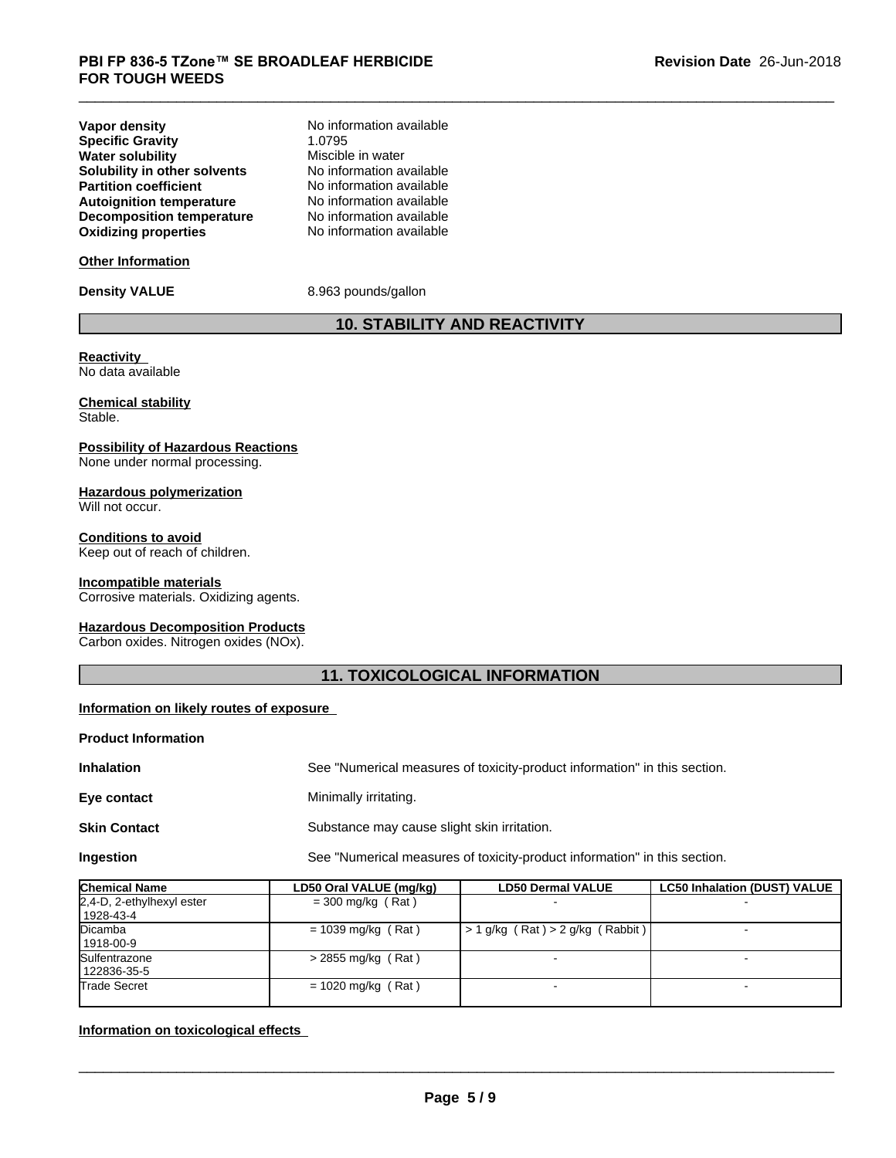| <b>Vapor density</b>             | No information available |
|----------------------------------|--------------------------|
| <b>Specific Gravity</b>          | 1.0795                   |
| <b>Water solubility</b>          | Miscible in water        |
| Solubility in other solvents     | No information available |
| <b>Partition coefficient</b>     | No information available |
| <b>Autoignition temperature</b>  | No information available |
| <b>Decomposition temperature</b> | No information available |
| <b>Oxidizing properties</b>      | No information available |

# **Other Information**

**Density VALUE** 8.963 pounds/gallon

# **10. STABILITY AND REACTIVITY**

#### **Reactivity** No data available

**Chemical stability** Stable.

# **Possibility of Hazardous Reactions**

None under normal processing.

# **Hazardous polymerization**

Will not occur.

**Conditions to avoid** Keep out of reach of children.

# **Incompatible materials**

Corrosive materials. Oxidizing agents.

# **Hazardous Decomposition Products**

Carbon oxides. Nitrogen oxides (NOx).

# **11. TOXICOLOGICAL INFORMATION**

# **Information on likely routes of exposure**

# **Product Information**

| <b>Inhalation</b>   | See "Numerical measures of toxicity-product information" in this section. |
|---------------------|---------------------------------------------------------------------------|
| Eye contact         | Minimally irritating.                                                     |
| <b>Skin Contact</b> | Substance may cause slight skin irritation.                               |
| Ingestion           | See "Numerical measures of toxicity-product information" in this section. |

| <b>Chemical Name</b>                   | LD50 Oral VALUE (mg/kg) | <b>LD50 Dermal VALUE</b>                         | <b>LC50 Inhalation (DUST) VALUE</b> |
|----------------------------------------|-------------------------|--------------------------------------------------|-------------------------------------|
| 2,4-D, 2-ethylhexyl ester<br>1928-43-4 | $=$ 300 mg/kg (Rat)     |                                                  |                                     |
| Dicamba<br>1918-00-9                   | $= 1039$ mg/kg (Rat)    | $\vert$ > 1 g/kg (Rat) > 2 g/kg (Rabbit) $\vert$ |                                     |
| Sulfentrazone<br>122836-35-5           | $>$ 2855 mg/kg (Rat)    |                                                  |                                     |
| <b>Trade Secret</b>                    | $= 1020$ mg/kg (Rat)    | $\overline{\phantom{0}}$                         |                                     |

# **Information on toxicological effects**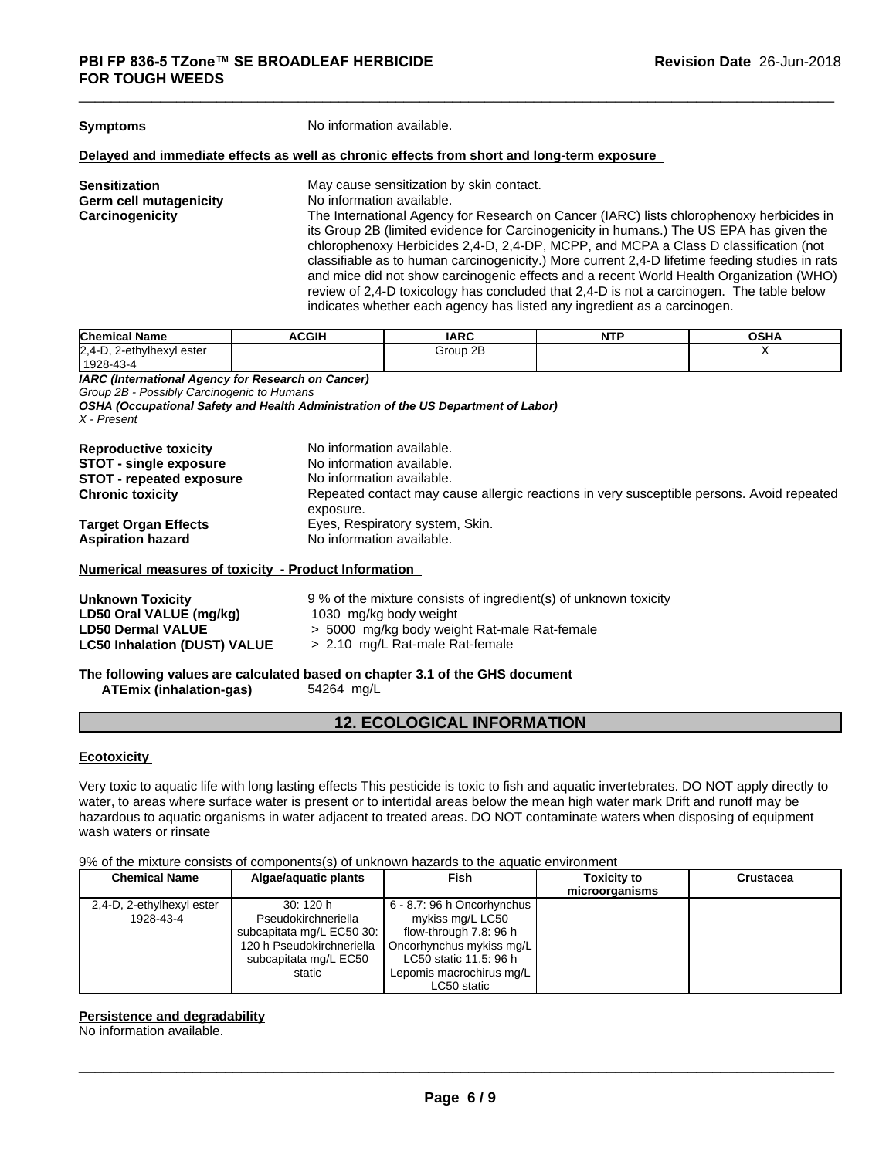**Symptoms** No information available.

#### **Delayed and immediate effects as well as chronic effects from short and long-term exposure**

**Sensitization**<br> **Sensitization**<br> **Germ cell mutagenicity**<br> **No** information available. **No information available. Carcinogenicity** The International Agency for Research on Cancer (IARC) lists chlorophenoxy herbicides in its Group 2B (limited evidence for Carcinogenicity in humans.) The US EPA has given the chlorophenoxy Herbicides 2,4-D, 2,4-DP, MCPP, and MCPA a Class D classification (not classifiable as to human carcinogenicity.) More current 2,4-D lifetime feeding studies in rats and mice did not show carcinogenic effects and a recent World Health Organization (WHO) review of 2,4-D toxicology has concluded that 2,4-D is not a carcinogen. The table below indicates whether each agency has listed any ingredient as a carcinogen.

| <b>Chemical</b><br>. .<br>∣ Name               | <b>ACGIH</b> | <b>IARC</b> | . | <b>OCUA</b><br>UJNA |
|------------------------------------------------|--------------|-------------|---|---------------------|
| $ 2, 4 - D$<br>-ethylhexyl<br>ester<br>--<br>. |              | Group 2B    |   | $\cdot$ $\cdot$     |
| $1928 - 43 - 4$                                |              |             |   |                     |

*IARC (International Agency for Research on Cancer)*

*Group 2B - Possibly Carcinogenic to Humans*

*OSHA (Occupational Safety and Health Administration of the US Department of Labor) X - Present*

| <b>Reproductive toxicity</b><br><b>STOT - single exposure</b><br><b>STOT - repeated exposure</b> | No information available.<br>No information available.<br>No information available.       |
|--------------------------------------------------------------------------------------------------|-------------------------------------------------------------------------------------------|
| <b>Chronic toxicity</b>                                                                          | Repeated contact may cause allergic reactions in very susceptible persons. Avoid repeated |
| <b>Target Organ Effects</b><br><b>Aspiration hazard</b>                                          | exposure.<br>Eyes, Respiratory system, Skin.<br>No information available.                 |

#### **Numerical measures of toxicity - Product Information**

| <b>Unknown Toxicity</b>             | 9 % of the mixture consists of ingredient(s) of unknown toxicity |
|-------------------------------------|------------------------------------------------------------------|
| LD50 Oral VALUE (mg/kg)             | 1030 mg/kg body weight                                           |
| <b>LD50 Dermal VALUE</b>            | > 5000 mg/kg body weight Rat-male Rat-female                     |
| <b>LC50 Inhalation (DUST) VALUE</b> | > 2.10 mg/L Rat-male Rat-female                                  |
|                                     |                                                                  |

**The following values are calculated based on chapter 3.1 of the GHS document ATEmix (inhalation-gas)** 54264 mg/L

# **12. ECOLOGICAL INFORMATION**

# **Ecotoxicity**

Very toxic to aquatic life with long lasting effects This pesticide is toxic to fish and aquatic invertebrates. DO NOT apply directly to water, to areas where surface water is present or to intertidal areas below the mean high water mark Drift and runoff may be hazardous to aquatic organisms in water adjacent to treated areas. DO NOT contaminate waters when disposing of equipment wash waters or rinsate

9% of the mixture consists of components(s) of unknown hazards to the aquatic environment

| <b>Chemical Name</b><br>Algae/aguatic plants |                           | Fish                       | <b>Toxicity to</b> | <b>Crustacea</b> |
|----------------------------------------------|---------------------------|----------------------------|--------------------|------------------|
|                                              |                           |                            | microorganisms     |                  |
| 2,4-D, 2-ethylhexyl ester                    | 30: 120 h                 | 6 - 8.7: 96 h Oncorhynchus |                    |                  |
| 1928-43-4                                    | Pseudokirchneriella       | mykiss mg/L LC50           |                    |                  |
|                                              | subcapitata mg/L EC50 30: | flow-through 7.8: 96 h     |                    |                  |
|                                              | 120 h Pseudokirchneriella | Oncorhynchus mykiss mg/L   |                    |                  |
|                                              | subcapitata mg/L EC50     | LC50 static 11.5: 96 h     |                    |                  |
|                                              | static                    | Lepomis macrochirus mg/L   |                    |                  |
|                                              |                           | LC50 static                |                    |                  |

# **Persistence and degradability**

No information available.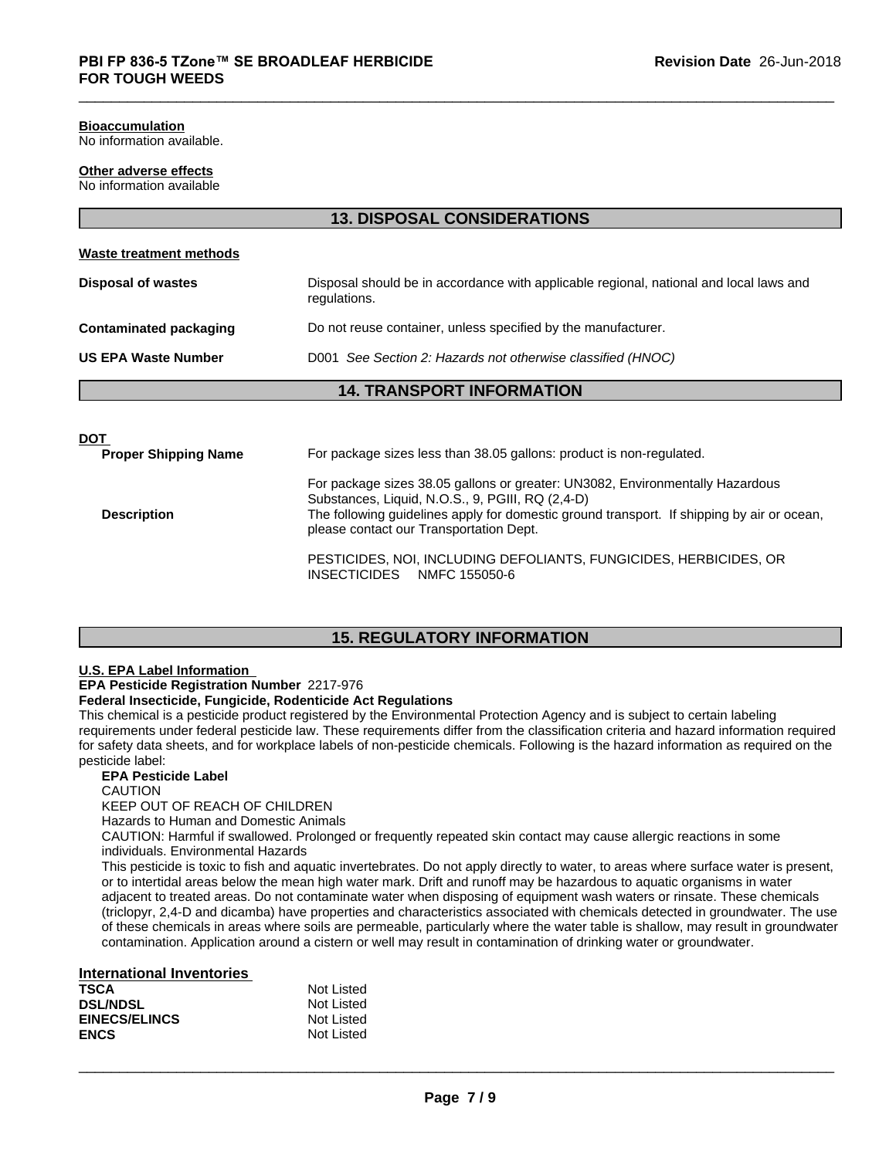# **Bioaccumulation**

No information available.

# **Other adverse effects**

No information available

| Waste treatment methods       |                                                                                                        |
|-------------------------------|--------------------------------------------------------------------------------------------------------|
| <b>Disposal of wastes</b>     | Disposal should be in accordance with applicable regional, national and local laws and<br>regulations. |
| <b>Contaminated packaging</b> | Do not reuse container, unless specified by the manufacturer.                                          |
| <b>US EPA Waste Number</b>    | D001 See Section 2: Hazards not otherwise classified (HNOC)                                            |
|                               | <b>14. TRANSPORT INFORMATION</b>                                                                       |
|                               |                                                                                                        |

**13. DISPOSAL CONSIDERATIONS**

| <b>DOT</b>                  |                                                                                                                                                                                                                                                                            |
|-----------------------------|----------------------------------------------------------------------------------------------------------------------------------------------------------------------------------------------------------------------------------------------------------------------------|
| <b>Proper Shipping Name</b> | For package sizes less than 38.05 gallons: product is non-regulated.                                                                                                                                                                                                       |
| <b>Description</b>          | For package sizes 38.05 gallons or greater: UN3082, Environmentally Hazardous<br>Substances, Liquid, N.O.S., 9, PGIII, RQ (2,4-D)<br>The following guidelines apply for domestic ground transport. If shipping by air or ocean,<br>please contact our Transportation Dept. |
|                             | PESTICIDES, NOI, INCLUDING DEFOLIANTS, FUNGICIDES, HERBICIDES, OR<br><b>INSECTICIDES</b><br>NMFC 155050-6                                                                                                                                                                  |

# **15. REGULATORY INFORMATION**

#### **U.S. EPA Label Information**

**EPA Pesticide Registration Number** 2217-976

# **Federal Insecticide, Fungicide, Rodenticide Act Regulations**

This chemical is a pesticide product registered by the Environmental Protection Agency and is subject to certain labeling requirements under federal pesticide law. These requirements differ from the classification criteria and hazard information required for safety data sheets, and for workplace labels of non-pesticide chemicals. Following is the hazard information as required on the pesticide label:

# **EPA Pesticide Label**

CAUTION

KEEP OUT OF REACH OF CHILDREN

Hazards to Human and Domestic Animals

CAUTION: Harmful if swallowed. Prolonged or frequently repeated skin contact may cause allergic reactions in some individuals. Environmental Hazards

This pesticide is toxic to fish and aquatic invertebrates. Do not apply directly to water, to areas where surface water is present, or to intertidal areas below the mean high water mark. Drift and runoff may be hazardous to aquatic organisms in water adjacent to treated areas. Do not contaminate water when disposing of equipment wash waters or rinsate. These chemicals (triclopyr, 2,4-D and dicamba) have properties and characteristics associated with chemicals detected in groundwater. The use of these chemicals in areas where soils are permeable, particularly where the water table is shallow, may result in groundwater contamination. Application around a cistern or well may result in contamination of drinking water or groundwater.

# **International Inventories**

| <b>TSCA</b>          | Not Listed |
|----------------------|------------|
| <b>DSL/NDSL</b>      | Not Listed |
| <b>EINECS/ELINCS</b> | Not Listed |
| <b>ENCS</b>          | Not Listed |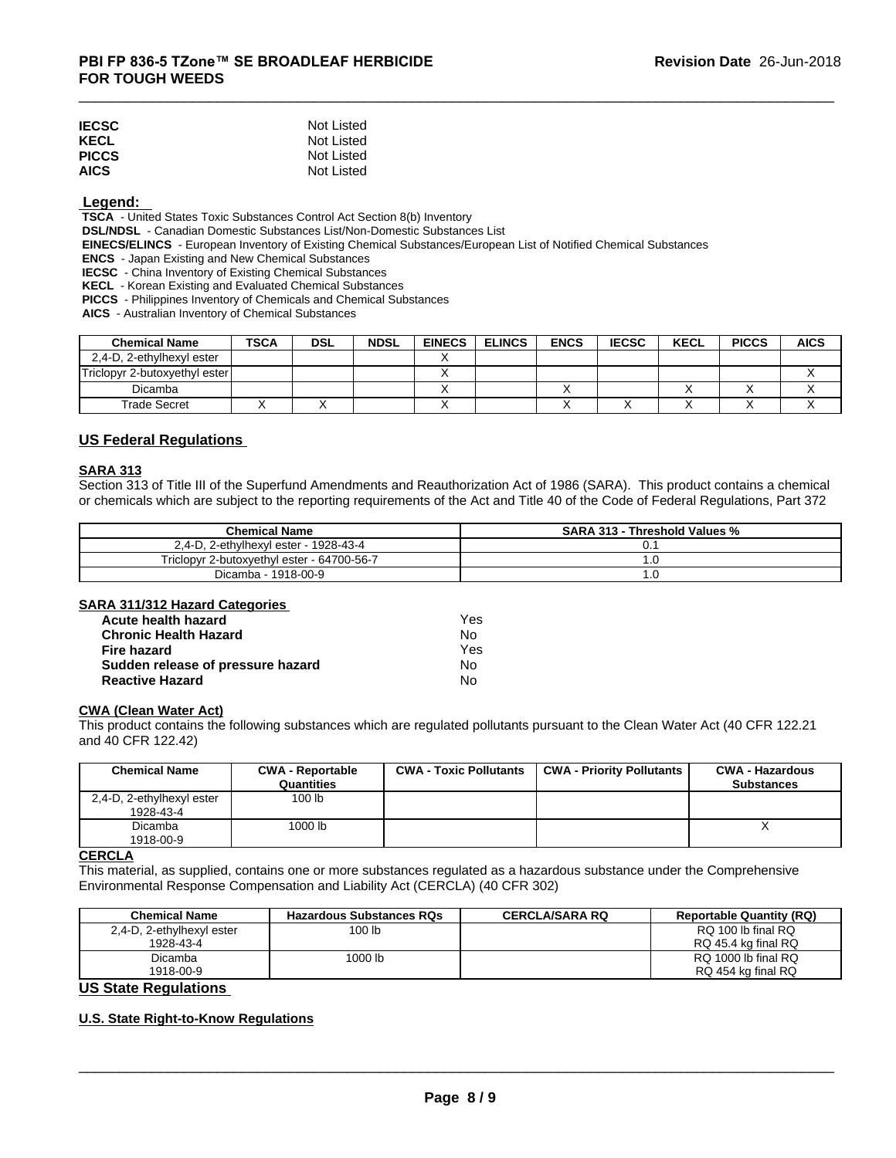| <b>IECSC</b> | Not Listed |
|--------------|------------|
| <b>KECL</b>  | Not Listed |
| <b>PICCS</b> | Not Listed |
| <b>AICS</b>  | Not Listed |

# **Legend:**

 **TSCA** - United States Toxic Substances Control Act Section 8(b) Inventory

 **DSL/NDSL** - Canadian Domestic Substances List/Non-Domestic Substances List

 **EINECS/ELINCS** - European Inventory of Existing Chemical Substances/European List of Notified Chemical Substances

 **ENCS** - Japan Existing and New Chemical Substances

 **IECSC** - China Inventory of Existing Chemical Substances

 **KECL** - Korean Existing and Evaluated Chemical Substances

 **PICCS** - Philippines Inventory of Chemicals and Chemical Substances

 **AICS** - Australian Inventory of Chemical Substances

| <b>Chemical Name</b>          | <b>TSCA</b> | <b>DSL</b> | <b>NDSL</b> | <b>EINECS</b> | <b>ELINCS</b> | <b>ENCS</b> | <b>IECSC</b> | <b>KECL</b> | <b>PICCS</b> | <b>AICS</b> |
|-------------------------------|-------------|------------|-------------|---------------|---------------|-------------|--------------|-------------|--------------|-------------|
| 2,4-D, 2-ethylhexyl ester     |             |            |             |               |               |             |              |             |              |             |
| Triclopyr 2-butoxyethyl ester |             |            |             |               |               |             |              |             |              |             |
| Dicamba                       |             |            |             |               |               |             |              |             |              |             |
| Trade Secret                  |             |            |             |               |               |             |              |             |              | $\lambda$   |

# **US Federal Regulations**

# **SARA 313**

Section 313 of Title III of the Superfund Amendments and Reauthorization Act of 1986 (SARA). This product contains a chemical or chemicals which are subject to the reporting requirements of the Act and Title 40 of the Code of Federal Regulations, Part 372

| <b>Chemical Name</b>                       | <b>SARA 313 -</b><br>- Threshold Values % |
|--------------------------------------------|-------------------------------------------|
| $-1928-43-4$<br>2,4-D, 2-ethylhexyl ester  | U.                                        |
| Triclopyr 2-butoxyethyl ester - 64700-56-7 | . . U                                     |
| $-1918-00-9$<br>Dicamba                    | 1.U                                       |

#### **SARA 311/312 Hazard Categories**

| Acute health hazard               | Yes |  |
|-----------------------------------|-----|--|
| <b>Chronic Health Hazard</b>      | No. |  |
| Fire hazard                       | Yes |  |
| Sudden release of pressure hazard | No. |  |
| <b>Reactive Hazard</b>            | No  |  |

# **CWA (Clean WaterAct)**

This product contains the following substances which are regulated pollutants pursuant to the Clean Water Act (40 CFR 122.21 and 40 CFR 122.42)

| <b>Chemical Name</b>                   | <b>CWA - Reportable</b><br>Quantities | <b>CWA - Toxic Pollutants</b> | CWA - Priority Pollutants | <b>CWA - Hazardous</b><br><b>Substances</b> |
|----------------------------------------|---------------------------------------|-------------------------------|---------------------------|---------------------------------------------|
| 2,4-D, 2-ethylhexyl ester<br>1928-43-4 | 100 lb                                |                               |                           |                                             |
| Dicamba<br>1918-00-9                   | 1000 lb                               |                               |                           |                                             |

# **CERCLA**

This material, as supplied, contains one or more substances regulated as a hazardous substance under the Comprehensive Environmental Response Compensation and Liability Act (CERCLA) (40 CFR 302)

| <b>Chemical Name</b>      | <b>Hazardous Substances RQs</b> | <b>CERCLA/SARA RQ</b> | <b>Reportable Quantity (RQ)</b> |
|---------------------------|---------------------------------|-----------------------|---------------------------------|
| 2,4-D, 2-ethylhexyl ester | 100 lb                          |                       | RQ 100 lb final RQ              |
| 1928-43-4                 |                                 |                       | RQ 45.4 kg final RQ             |
| Dicamba                   | 1000 lb                         |                       | RQ 1000 lb final RQ             |
| 1918-00-9                 |                                 |                       | RQ 454 kg final RQ              |

# **US State Regulations**

# **U.S. State Right-to-Know Regulations**